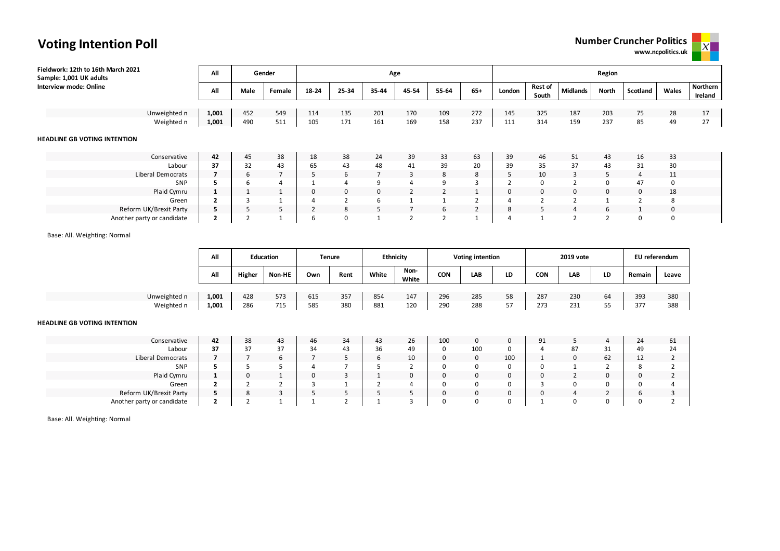**www.ncpolitics.uk**



|  | <b>Voting Intention Poll</b> |  |
|--|------------------------------|--|
|--|------------------------------|--|

| Fieldwork: 12th to 16th March 2021<br>Sample: 1,001 UK adults | All            |      | Gender |       |                   | Age   |                |                |                | Region         |                         |                 |                |                |       |                     |  |  |
|---------------------------------------------------------------|----------------|------|--------|-------|-------------------|-------|----------------|----------------|----------------|----------------|-------------------------|-----------------|----------------|----------------|-------|---------------------|--|--|
| Interview mode: Online                                        | All            | Male | Female | 18-24 | 25-34             | 35-44 | 45-54          | 55-64          | $65+$          | London         | <b>Rest of</b><br>South | <b>Midlands</b> | North          | Scotland       | Wales | Northern<br>Ireland |  |  |
|                                                               |                |      |        |       |                   |       |                |                |                |                |                         |                 |                |                |       |                     |  |  |
| Unweighted n                                                  | 1,001          | 452  | 549    | 114   | 135               | 201   | 170            | 109            | 272            | 145            | 325                     | 187             | 203            | 75             | 28    | 17                  |  |  |
| Weighted n                                                    | 1,001          | 490  | 511    | 105   | 171               | 161   | 169            | 158            | 237            | 111            | 314                     | 159             | 237            | 85             | 49    | 27                  |  |  |
| <b>HEADLINE GB VOTING INTENTION</b>                           |                |      |        |       |                   |       |                |                |                |                |                         |                 |                |                |       |                     |  |  |
| Conservative                                                  | 42             | 45   | 38     | 18    | 38                | 24    | 39             | 33             | 63             | 39             | 46                      | 51              | 43             | 16             | 33    |                     |  |  |
| Labour                                                        | 37             | 32   | 43     | 65    | 43                | 48    | 41             | 39             | 20             | 39             | 35                      | 37              | 43             | 31             | 30    |                     |  |  |
| Liberal Democrats                                             |                | 6    |        | 5     | 6                 |       | 3              | 8              | 8              | כ              | 10                      | 3               | 5              | $\overline{4}$ | 11    |                     |  |  |
| SNP                                                           |                | 6    |        |       | 4                 | 9     |                | 9              | 3              | $\overline{2}$ | 0                       |                 | 0              | 47             | 0     |                     |  |  |
| Plaid Cymru                                                   | 1              |      |        | 0     | $\mathbf{0}$      | 0     | $\overline{2}$ | 2              |                | $\mathbf{0}$   | $\mathbf 0$             | $\mathbf{0}$    | $\mathbf 0$    | 0              | 18    |                     |  |  |
| Green                                                         | $\overline{2}$ | 3    |        | 4     | $\mathbf{\hat{}}$ | 6     |                |                | $\overline{2}$ | 4              | $\overline{2}$          |                 |                | $\overline{2}$ | 8     |                     |  |  |
| Reform UK/Brexit Party                                        | 5.             | 5    |        | ∠     | 8                 | 5     |                | 6              | $\overline{2}$ | 8              | 5                       | 4               | 6              |                | 0     |                     |  |  |
| Another party or candidate                                    | $\overline{2}$ |      |        | 6     | 0                 |       | $\sim$         | $\overline{2}$ |                | 4              |                         | $\overline{2}$  | $\overline{2}$ | $\Omega$       | 0     |                     |  |  |

#### Base: All. Weighting: Normal

|                            | All            |            | <b>Education</b> | <b>Tenure</b> |            | <b>Ethnicity</b> |               |            | <b>Voting intention</b> |          |            | 2019 vote  | EU referendum |            |            |
|----------------------------|----------------|------------|------------------|---------------|------------|------------------|---------------|------------|-------------------------|----------|------------|------------|---------------|------------|------------|
|                            | All            | Higher     | Non-HE           | Own           | Rent       | White            | Non-<br>White | CON        | <b>LAB</b>              | LD       | <b>CON</b> | LAB        | LD            | Remain     | Leave      |
| Unweighted n<br>Weighted n | 1,001<br>1,001 | 428<br>286 | 573<br>715       | 615<br>585    | 357<br>380 | 854<br>881       | 147<br>120    | 296<br>290 | 285<br>288              | 58<br>57 | 287<br>273 | 230<br>231 | 64<br>ر ر     | 393<br>377 | 380<br>388 |

#### **HEADLINE GB VOTING INTENTION**

| Conservative               | 42 | 38 | 43 | 46           | 34 | 43 | 26 | 100 | 0   |     | 91 |    |           | 24 | 61 |
|----------------------------|----|----|----|--------------|----|----|----|-----|-----|-----|----|----|-----------|----|----|
| Labour                     | 37 | 37 | 37 | 24           | 43 | 36 | 49 |     | 100 |     |    | 87 | 31<br>⊥ ب |    | 24 |
| Liberal Democrats          |    |    | O  |              |    |    | 10 |     | 0   | 100 |    |    | 62        | ∸∸ |    |
| SNP                        |    |    |    |              |    |    |    |     |     |     |    |    |           |    |    |
| Plaid Cymru                |    |    |    | <sup>0</sup> |    |    |    |     | 0   |     |    |    | $\Omega$  |    |    |
| Green                      |    |    |    |              |    |    |    |     |     |     |    |    |           |    |    |
| Reform UK/Brexit Party     |    |    |    |              |    |    |    |     | 0   |     |    |    |           |    |    |
| Another party or candidate |    |    |    |              |    |    |    |     |     |     |    |    |           |    |    |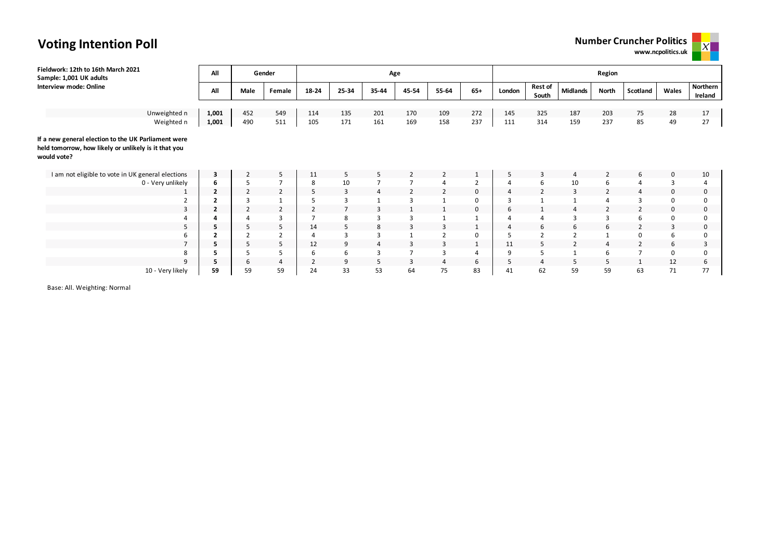# **Voting Intention Poll**

| <b>Number Cruncher Politics</b> |  |
|---------------------------------|--|

**www.ncpolitics.uk**

 $\mathsf{X}^-$ 

| Fieldwork: 12th to 16th March 2021<br>Sample: 1,001 UK adults                                                              | All            |                | Gender         |                |       | Age            |       |                |                | Region   |                         |                 |                |                |       |                     |  |  |
|----------------------------------------------------------------------------------------------------------------------------|----------------|----------------|----------------|----------------|-------|----------------|-------|----------------|----------------|----------|-------------------------|-----------------|----------------|----------------|-------|---------------------|--|--|
| Interview mode: Online                                                                                                     | All            | Male           | Female         | 18-24          | 25-34 | 35-44          | 45-54 | 55-64          | $65+$          | London   | <b>Rest of</b><br>South | <b>Midlands</b> | North          | Scotland       | Wales | Northern<br>Ireland |  |  |
|                                                                                                                            |                |                |                |                |       |                |       |                |                |          |                         |                 |                |                |       |                     |  |  |
| Unweighted n                                                                                                               | 1,001          | 452            | 549            | 114            | 135   | 201            | 170   | 109            | 272            | 145      | 325                     | 187             | 203            | 75             | 28    | 17                  |  |  |
| Weighted n                                                                                                                 | 1,001          | 490            | 511            | 105            | 171   | 161            | 169   | 158            | 237            | 111      | 314                     | 159             | 237            | 85             | 49    | 27                  |  |  |
| If a new general election to the UK Parliament were<br>held tomorrow, how likely or unlikely is it that you<br>would vote? |                |                |                |                |       |                |       |                |                |          |                         |                 |                |                |       |                     |  |  |
| I am not eligible to vote in UK general elections                                                                          | 3              | $\overline{2}$ | 5              | 11             | 5     | 5              |       | $\overline{2}$ | 1              | 5        | 3                       |                 | 2              | 6              | 0     | 10                  |  |  |
| 0 - Very unlikely                                                                                                          | 6              | 5              | $\overline{7}$ | 8              | 10    |                |       | $\overline{4}$ | $\overline{2}$ |          | 6                       | 10              | 6              | 4              | 3     |                     |  |  |
|                                                                                                                            | $\overline{2}$ | $\overline{2}$ | $\overline{2}$ | 5              | 3     | $\overline{a}$ |       | $\overline{2}$ | 0              | $\Delta$ | $\overline{2}$          | 3               | 2              | 4              | 0     | 0                   |  |  |
|                                                                                                                            | $\overline{2}$ |                |                | 5              | 3     |                | 3     | $\mathbf{1}$   | $\mathbf 0$    |          |                         | -1              | $\overline{4}$ |                |       |                     |  |  |
| 3                                                                                                                          | $\overline{2}$ | $\overline{2}$ | $\overline{2}$ | $\overline{2}$ |       |                |       |                | $\mathbf 0$    | 6        |                         |                 | $\overline{2}$ |                |       | 0                   |  |  |
|                                                                                                                            |                |                | 3              | -              | 8     |                | З     |                |                |          |                         | 3               | 3              | 6              |       |                     |  |  |
| 5                                                                                                                          | 5              | 5              | 5              | 14             | 5     | 8              | 3     | 3              | 1              |          | 6                       | 6               | 6              | $\overline{2}$ | 3     | 0                   |  |  |
| 6                                                                                                                          | 2              |                | $\overline{2}$ | $\overline{4}$ |       |                |       | $\overline{2}$ | 0              |          | $\overline{2}$          |                 |                | 0              | 6     |                     |  |  |
|                                                                                                                            | 5              | 5              | 5              | 12             | 9     |                | 3     | 3              | $\mathbf{1}$   | 11       | 5                       |                 | $\overline{4}$ | $\overline{2}$ | 6     | 3                   |  |  |
| 8                                                                                                                          |                |                | 5              | 6              | 6     |                |       | 3              | 4              | 9        |                         |                 | 6              |                |       |                     |  |  |
| 9                                                                                                                          |                | 6              | $\overline{4}$ | 2              | 9     | 5              | 3     | $\overline{4}$ | 6              | 5        | 4                       |                 | 5              |                | 12    | b                   |  |  |

10 - Very likely **59** 59 59 24 33 53 64 75 83 41 62 59 59 63 71 77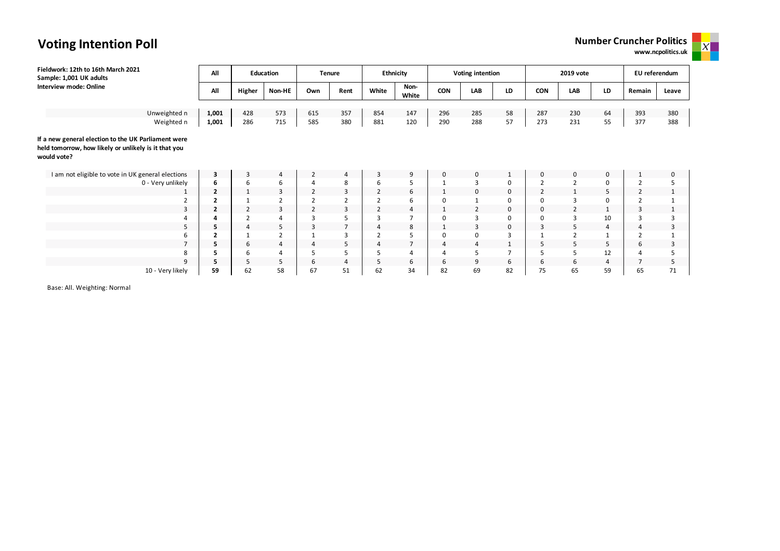

**Voting Intention Poll**

| Fieldwork: 12th to 16th March 2021<br>Sample: 1,001 UK adults                                                              | All            |                | Education      |                | <b>Tenure</b>  |                | <b>Ethnicity</b> |            | Voting intention |                |                | 2019 vote      |                | EU referendum  |              |
|----------------------------------------------------------------------------------------------------------------------------|----------------|----------------|----------------|----------------|----------------|----------------|------------------|------------|------------------|----------------|----------------|----------------|----------------|----------------|--------------|
| Interview mode: Online                                                                                                     | All            | Higher         | Non-HE         | Own            | Rent           | White          | Non-<br>White    | <b>CON</b> | LAB              | LD             | CON            | LAB            | LD             | Remain         | Leave        |
|                                                                                                                            |                |                |                |                |                |                |                  |            |                  |                |                |                |                |                |              |
| Unweighted n                                                                                                               | 1,001          | 428            | 573            | 615            | 357            | 854            | 147              | 296        | 285              | 58             | 287            | 230            | 64             | 393            | 380          |
| Weighted n                                                                                                                 | 1,001          | 286            | 715            | 585            | 380            | 881            | 120              | 290        | 288              | 57             | 273            | 231            | 55             | 377            | 388          |
| If a new general election to the UK Parliament were<br>held tomorrow, how likely or unlikely is it that you<br>would vote? |                |                |                |                |                |                |                  |            |                  |                |                |                |                |                |              |
| I am not eligible to vote in UK general elections                                                                          | $\mathbf{3}$   | 3              | 4              | 2              | 4              | 3              | 9                | 0          | $\mathbf 0$      | $\mathbf{1}$   | 0              | $\mathbf 0$    | 0              |                | 0            |
| 0 - Very unlikely                                                                                                          | 6              | 6              | 6              | $\overline{4}$ | 8              | 6              | 5                |            | 3                | 0              | $\overline{2}$ | $\overline{2}$ | $\Omega$       | $\overline{2}$ | 5            |
|                                                                                                                            | $\overline{2}$ | 1              | 3              | 2              | 3              | 2              | 6                | 1          | 0                | 0              | $\overline{2}$ | 1              | 5              | 2              | $\mathbf{1}$ |
|                                                                                                                            | 2              |                | $\overline{2}$ |                | $\overline{2}$ | 2              | 6                | $\Omega$   | $\mathbf{1}$     | 0              | $\Omega$       | 3              | $\Omega$       |                | $\mathbf{1}$ |
| 3                                                                                                                          | $\overline{2}$ | $\overline{2}$ | 3              | $\overline{2}$ | 3              | $\overline{2}$ | 4                |            | $\overline{2}$   | 0              | 0              | 2              |                | 3              | $\mathbf{1}$ |
|                                                                                                                            | 4              | $\overline{2}$ | 4              | 3              | 5              | 3              |                  | $\Omega$   | 3                | 0              | $\Omega$       | 3              | 10             |                | 3            |
| 5                                                                                                                          | 5              | $\overline{4}$ | 5              | 3              | $\overline{7}$ | $\overline{4}$ | 8                |            | 3                | 0              | 3              | 5              | $\overline{4}$ | 4              | 3            |
| 6                                                                                                                          | $\overline{2}$ | 1              | $\overline{2}$ |                | 3              |                |                  | 0          | 0                | 3              |                | $\overline{2}$ |                |                | $\mathbf{1}$ |
| $\overline{ }$                                                                                                             | 5              | 6              | 4              | 4              | 5              | $\overline{4}$ | $\overline{7}$   | 4          | $\overline{4}$   | $\mathbf 1$    | 5              | 5              | 5              | 6              | 3            |
| 8                                                                                                                          | 5              | 6              | 4              | 5              | 5              | 5              |                  | 4          | 5                | $\overline{7}$ | 5              | 5              | 12             |                | 5            |
| 9                                                                                                                          | 5              | 5              | 5              | 6              | $\overline{4}$ | 5              | 6                | 6          | 9                | 6              | 6              | 6              | 4              |                | 5            |
| 10 - Very likely                                                                                                           | 59             | 62             | 58             | 67             | 51             | 62             | 34               | 82         | 69               | 82             | 75             | 65             | 59             | 65             | 71           |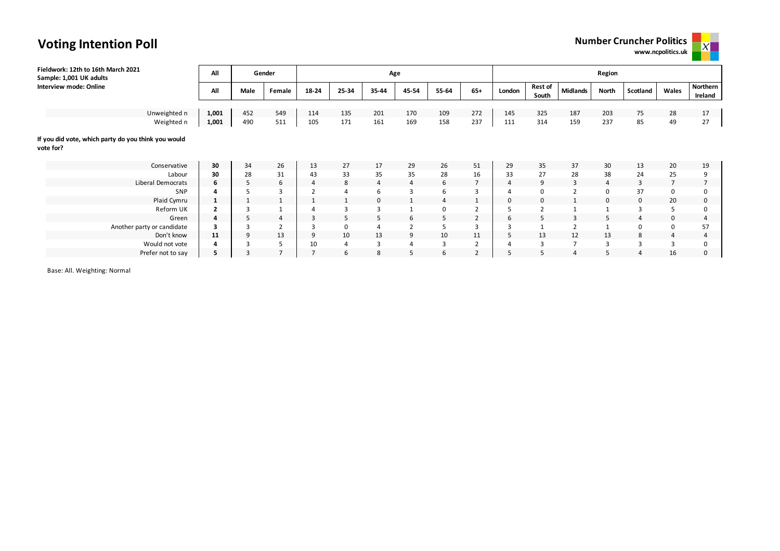**www.ncpolitics.uk**



| Fieldwork: 12th to 16th March 2021<br>Sample: 1,001 UK adults    | All            |      | Gender         |                |       | Age         |                |                |                | Region |                          |                 |              |                |                |                     |  |  |
|------------------------------------------------------------------|----------------|------|----------------|----------------|-------|-------------|----------------|----------------|----------------|--------|--------------------------|-----------------|--------------|----------------|----------------|---------------------|--|--|
| Interview mode: Online                                           | All            | Male | Female         | 18-24          | 25-34 | 35-44       | 45-54          | 55-64          | $65+$          | London | <b>Rest of</b><br>South  | <b>Midlands</b> | North        | Scotland       | Wales          | Northern<br>Ireland |  |  |
|                                                                  |                |      |                |                |       |             |                |                |                |        |                          |                 |              |                |                |                     |  |  |
| Unweighted n                                                     | 1,001          | 452  | 549            | 114            | 135   | 201         | 170            | 109            | 272            | 145    | 325                      | 187             | 203          | 75             | 28             | 17                  |  |  |
| Weighted n                                                       | 1,001          | 490  | 511            | 105            | 171   | 161         | 169            | 158            | 237            | 111    | 314                      | 159             | 237          | 85             | 49             | 27                  |  |  |
| If you did vote, which party do you think you would<br>vote for? |                |      |                |                |       |             |                |                |                |        |                          |                 |              |                |                |                     |  |  |
| Conservative                                                     | 30             | 34   | 26             | 13             | 27    | 17          | 29             | 26             | 51             | 29     | 35                       | 37              | 30           | 13             | 20             | 19                  |  |  |
| Labour                                                           | 30             | 28   | 31             | 43             | 33    | 35          | 35             | 28             | 16             | 33     | 27                       | 28              | 38           | 24             | 25             | 9                   |  |  |
| Liberal Democrats                                                | 6              | 5    | 6              | $\overline{4}$ | 8     | 4           | 4              | 6              |                | 4      | 9                        | 3               | 4            | 3              | $\overline{7}$ | $\overline{7}$      |  |  |
| SNP                                                              | 4              |      | $\overline{3}$ | $\overline{2}$ | 4     | 6           | 3              | 6              |                | 4      |                          | $\overline{2}$  | 0            | 37             |                | 0                   |  |  |
| Plaid Cymru                                                      | $\mathbf{1}$   |      | $\mathbf{1}$   |                |       | $\mathbf 0$ |                | $\overline{4}$ |                | 0      |                          |                 | 0            | 0              | 20             | $\mathbf 0$         |  |  |
| Reform UK                                                        | $\overline{2}$ | 3    |                |                | 3     | 3           |                | $\mathbf 0$    | $\overline{2}$ |        | $\overline{\phantom{a}}$ |                 | $\mathbf{1}$ | $\overline{3}$ |                | $\mathbf 0$         |  |  |
| Green                                                            | 4              | 5    | $\overline{4}$ | 3              | 5     | 5           | 6              | 5              | $\overline{2}$ | 6      | 5                        | 3               | 5            | 4              |                | $\overline{4}$      |  |  |
| Another party or candidate                                       | 3              | 3    | $\overline{2}$ | 3              | 0     |             | $\overline{2}$ | 5              | $\overline{3}$ |        |                          | $\overline{2}$  | $\mathbf{1}$ | 0              |                | 57                  |  |  |
| Don't know                                                       | 11             | 9    | 13             | 9              | 10    | 13          | 9              | 10             | 11             | 5      | 13                       | 12              | 13           | 8              | 4              | $\overline{4}$      |  |  |
| Would not vote                                                   | 4              | 3    | -5             | 10             | 4     | 3           | 4              | 3              | ۷              |        | 3                        | $\overline{7}$  | 3            | 3              | 3              | 0                   |  |  |
| Prefer not to say                                                | 5              | 3    | $\overline{7}$ | $\overline{7}$ | 6     | 8           |                | 6              | $\overline{2}$ |        | 5                        | $\overline{4}$  | 5            | 4              | 16             | 0                   |  |  |

Base: All. Weighting: Normal

# **Voting Intention Poll**